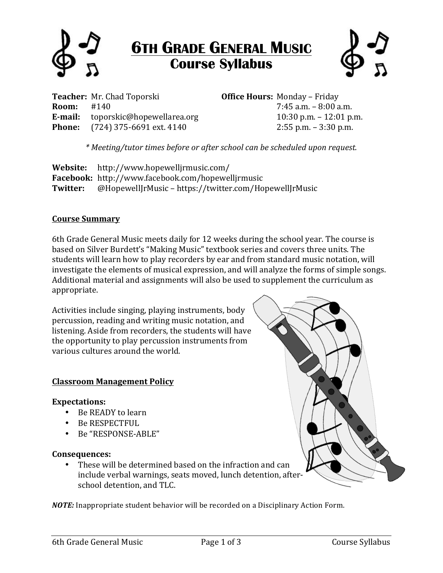

# **6TH GRADE GENERAL MUSIC Course Syllabus**



**Teacher:** Mr. Chad Toporski **Office Hours:** Monday – Friday **Room:** #140 **7:45 a.m.** – 8:00 a.m. **E-mail:** toporskic@hopewellarea.org 10:30 p.m. – 12:01 p.m. **Phone:** (724) 375-6691 ext. 4140 2:55 p.m. – 3:30 p.m.

*\*"Meeting/tutor"times"before"or"after"school can"be"scheduled"upon"request.*

**Website:** http://www.hopewelljrmusic.com/ **Facebook:** http://www.facebook.com/hopewelljrmusic **Twitter:** @HopewellJrMusic!– https://twitter.com/HopewellJrMusic

## **Course<Summary**

6th Grade General Music meets daily for 12 weeks during the school year. The course is based on Silver Burdett's "Making Music" textbook series and covers three units. The students will learn how to play recorders by ear and from standard music notation, will investigate the elements of musical expression, and will analyze the forms of simple songs. Additional material and assignments will also be used to supplement the curriculum as appropriate.

Activities include singing, playing instruments, body percussion, reading and writing music notation, and listening. Aside from recorders, the students will have the opportunity to play percussion instruments from various cultures around the world.

## **Classroom Management Policy**

## **Expectations:**

- $\bullet$  Be READY to learn
- Be RESPECTFUL
- Be "RESPONSE-ABLE"

#### **Consequences:**

• These will be determined based on the infraction and can include verbal warnings, seats moved, lunch detention, afterschool detention, and TLC.

*NOTE:* Inappropriate student behavior will be recorded on a Disciplinary Action Form.

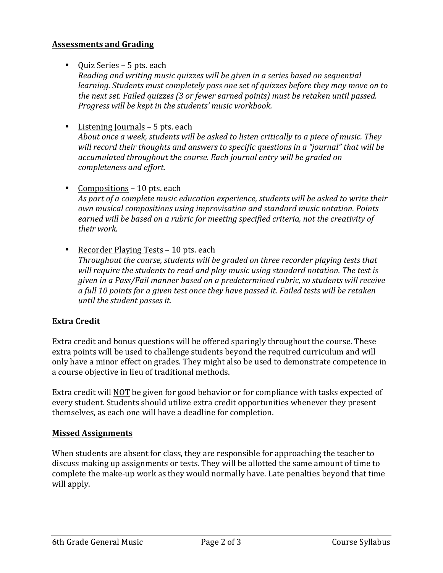## **Assessments and Grading**

• Ouiz Series – 5 pts. each

*Reading and writing music quizzes will be given in a series based on sequential learning. Students must completely pass one set of quizzes before they may move on to the"next"set."Failed"quizzes"(3"or"fewer"earned"points) must"be"retaken"until"passed." Progress will be kept in the students' music workbook.* 

- Listening Journals 5 pts. each About once a week, students will be asked to listen critically to a piece of music. They will record their thoughts and answers to specific questions in a "journal" that will be accumulated throughout the course. Each journal entry will be graded on *completeness"and"effort.*
- Compositions  $-10$  pts. each As part of a complete music education experience, students will be asked to write their *own"musical"compositions"using"improvisation"and"standard"music"notation."Points"* earned will be based on a rubric for meeting specified criteria, not the creativity of *their"work.*
- Recorder Playing Tests 10 pts. each *Throughout the course, students will be graded on three recorder playing tests that* will require the students to read and play music using standard notation. The test is *given"in"a"Pass/Fail"manner"based"on"a"predetermined"rubric,"so"students"will"receive"* a full 10 points for a given test once they have passed it. Failed tests will be retaken *until the student passes it.*

# **Extra Credit**

Extra credit and bonus questions will be offered sparingly throughout the course. These extra points will be used to challenge students beyond the required curriculum and will only have a minor effect on grades. They might also be used to demonstrate competence in a course objective in lieu of traditional methods.

Extra credit will NOT be given for good behavior or for compliance with tasks expected of every student. Students should utilize extra credit opportunities whenever they present themselves, as each one will have a deadline for completion.

## **Missed Assignments**

When students are absent for class, they are responsible for approaching the teacher to discuss making up assignments or tests. They will be allotted the same amount of time to complete the make-up work as they would normally have. Late penalties beyond that time will apply.